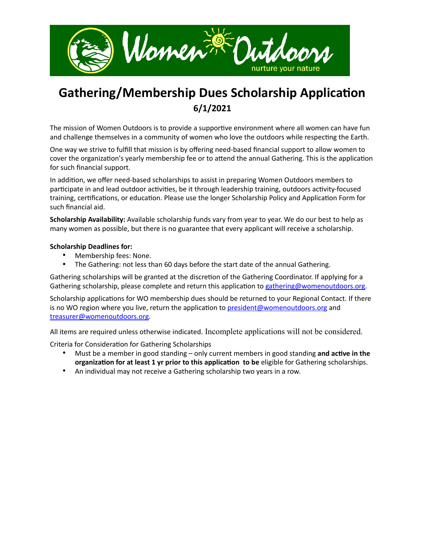

## **Gathering/Membership Dues Scholarship Application 6/1/2021**

The mission of Women Outdoors is to provide a supportive environment where all women can have fun and challenge themselves in a community of women who love the outdoors while respecting the Earth.

One way we strive to fulfill that mission is by offering need-based financial support to allow women to cover the organization's yearly membership fee or to attend the annual Gathering. This is the application for such financial support.

In addition, we offer need-based scholarships to assist in preparing Women Outdoors members to participate in and lead outdoor activities, be it through leadership training, outdoors activity-focused training, certifications, or education. Please use the longer Scholarship Policy and Application Form for such financial aid.

**Scholarship Availability:** Available scholarship funds vary from year to year. We do our best to help as many women as possible, but there is no guarantee that every applicant will receive a scholarship.

## **Scholarship Deadlines for:**

- Membership fees: None.
- The Gathering: not less than 60 days before the start date of the annual Gathering.

Gathering scholarships will be granted at the discretion of the Gathering Coordinator. If applying for a Gathering scholarship, please complete and return this application to [gathering@womenoutdoors.org](mailto:gathering@womenoutdoors.org).

Scholarship applications for WO membership dues should be returned to your Regional Contact. If there is no WO region where you live, return the application to [president@womenoutdoors.org](mailto:president@womenoutdoors.org) and [treasurer@womenoutdoors.org.](mailto:treasurer@womenoutdoors.org)

All items are required unless otherwise indicated. Incomplete applications will not be considered.

Criteria for Consideration for Gathering Scholarships

- Must be a member in good standing only current members in good standing **and active in the organization for at least 1 yr prior to this application to be** eligible for Gathering scholarships.
- An individual may not receive a Gathering scholarship two years in a row.